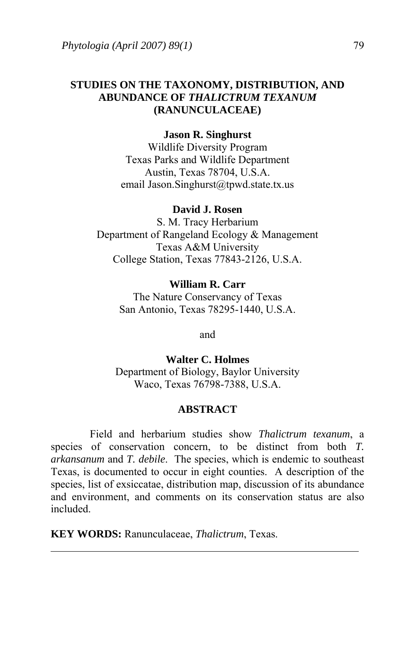## **STUDIES ON THE TAXONOMY, DISTRIBUTION, AND ABUNDANCE OF** *THALICTRUM TEXANUM* **(RANUNCULACEAE)**

### **Jason R. Singhurst**

Wildlife Diversity Program Texas Parks and Wildlife Department Austin, Texas 78704, U.S.A. email Jason.Singhurst@tpwd.state.tx.us

#### **David J. Rosen**

S. M. Tracy Herbarium Department of Rangeland Ecology & Management Texas A&M University College Station, Texas 77843-2126, U.S.A.

# **William R. Carr** The Nature Conservancy of Texas San Antonio, Texas 78295-1440, U.S.A.

and

**Walter C. Holmes**  Department of Biology, Baylor University Waco, Texas 76798-7388, U.S.A.

### **ABSTRACT**

Field and herbarium studies show *Thalictrum texanum*, a species of conservation concern, to be distinct from both *T. arkansanum* and *T. debile*. The species, which is endemic to southeast Texas, is documented to occur in eight counties. A description of the species, list of exsiccatae, distribution map, discussion of its abundance and environment, and comments on its conservation status are also included.

**KEY WORDS:** Ranunculaceae, *Thalictrum*, Texas.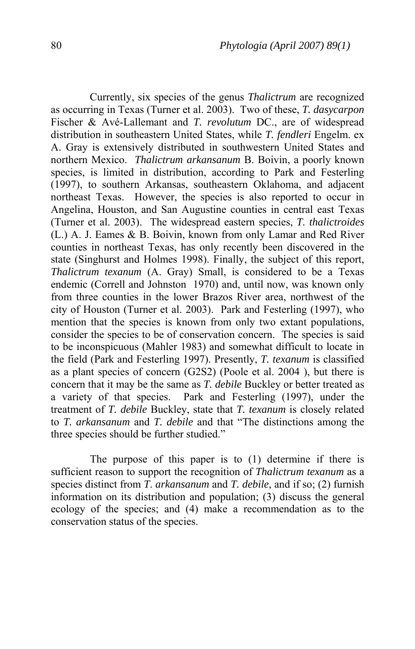Currently, six species of the genus *Thalictrum* are recognized as occurring in Texas (Turner et al. 2003). Two of these, *T. dasycarpon* Fischer & Avé-Lallemant and *T. revolutum* DC., are of widespread distribution in southeastern United States, while *T. fendleri* Engelm. ex A. Gray is extensively distributed in southwestern United States and northern Mexico. *Thalictrum arkansanum* B. Boivin, a poorly known species, is limited in distribution, according to Park and Festerling (1997), to southern Arkansas, southeastern Oklahoma, and adjacent northeast Texas. However, the species is also reported to occur in Angelina, Houston, and San Augustine counties in central east Texas (Turner et al. 2003). The widespread eastern species, *T. thalictroides* (L.) A. J. Eames & B. Boivin, known from only Lamar and Red River counties in northeast Texas, has only recently been discovered in the state (Singhurst and Holmes 1998). Finally, the subject of this report, *Thalictrum texanum* (A. Gray) Small, is considered to be a Texas endemic (Correll and Johnston 1970) and, until now, was known only from three counties in the lower Brazos River area, northwest of the city of Houston (Turner et al. 2003). Park and Festerling (1997), who mention that the species is known from only two extant populations, consider the species to be of conservation concern. The species is said to be inconspicuous (Mahler 1983) and somewhat difficult to locate in the field (Park and Festerling 1997). Presently, *T. texanum* is classified as a plant species of concern (G2S2) (Poole et al. 2004 ), but there is concern that it may be the same as *T. debile* Buckley or better treated as a variety of that species. Park and Festerling (1997), under the treatment of *T. debile* Buckley, state that *T. texanum* is closely related to *T. arkansanum* and *T. debile* and that "The distinctions among the three species should be further studied."

The purpose of this paper is to (1) determine if there is sufficient reason to support the recognition of *Thalictrum texanum* as a species distinct from *T*. *arkansanum* and *T. debile*, and if so; (2) furnish information on its distribution and population; (3) discuss the general ecology of the species; and (4) make a recommendation as to the conservation status of the species.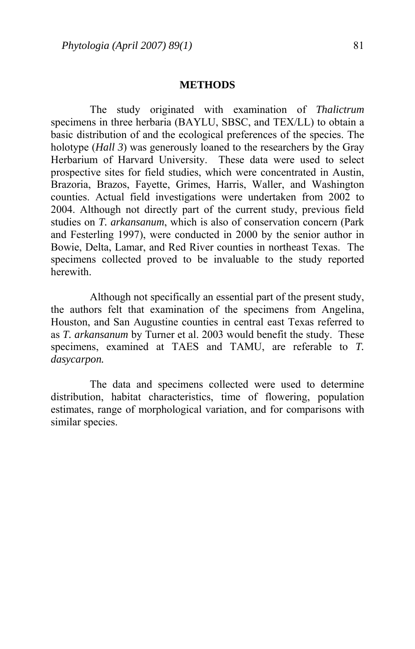#### **METHODS**

 The study originated with examination of *Thalictrum* specimens in three herbaria (BAYLU, SBSC, and TEX/LL) to obtain a basic distribution of and the ecological preferences of the species. The holotype (*Hall 3*) was generously loaned to the researchers by the Gray Herbarium of Harvard University. These data were used to select prospective sites for field studies, which were concentrated in Austin, Brazoria, Brazos, Fayette, Grimes, Harris, Waller, and Washington counties. Actual field investigations were undertaken from 2002 to 2004. Although not directly part of the current study, previous field studies on *T. arkansanum*, which is also of conservation concern (Park and Festerling 1997), were conducted in 2000 by the senior author in Bowie, Delta, Lamar, and Red River counties in northeast Texas. The specimens collected proved to be invaluable to the study reported herewith.

 Although not specifically an essential part of the present study, the authors felt that examination of the specimens from Angelina, Houston, and San Augustine counties in central east Texas referred to as *T. arkansanum* by Turner et al. 2003 would benefit the study. These specimens, examined at TAES and TAMU, are referable to *T. dasycarpon.* 

 The data and specimens collected were used to determine distribution, habitat characteristics, time of flowering, population estimates, range of morphological variation, and for comparisons with similar species.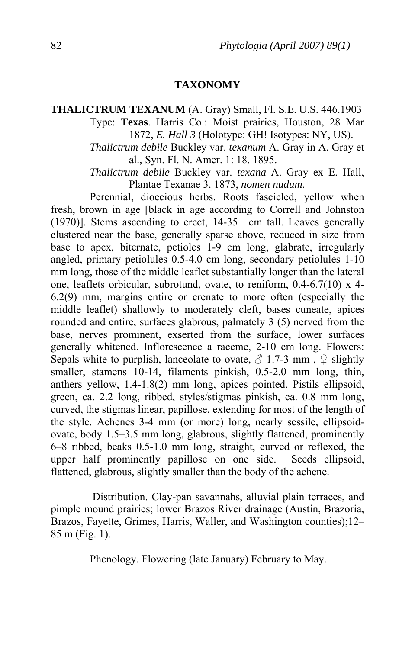#### **TAXONOMY**

# **THALICTRUM TEXANUM** (A. Gray) Small, Fl. S.E. U.S. 446.1903 Type: **Texas**. Harris Co.: Moist prairies, Houston, 28 Mar 1872, *E. Hall 3* (Holotype: GH! Isotypes: NY, US).

*Thalictrum debile* Buckley var. *texanum* A. Gray in A. Gray et al., Syn. Fl. N. Amer. 1: 18. 1895.

*Thalictrum debile* Buckley var. *texana* A. Gray ex E. Hall, Plantae Texanae 3. 1873, *nomen nudum*.

Perennial, dioecious herbs. Roots fascicled, yellow when fresh, brown in age [black in age according to Correll and Johnston (1970)]. Stems ascending to erect, 14-35+ cm tall. Leaves generally clustered near the base, generally sparse above, reduced in size from base to apex, biternate, petioles 1-9 cm long, glabrate, irregularly angled, primary petiolules 0.5-4.0 cm long, secondary petiolules 1-10 mm long, those of the middle leaflet substantially longer than the lateral one, leaflets orbicular, subrotund, ovate, to reniform, 0.4-6.7(10) x 4- 6.2(9) mm, margins entire or crenate to more often (especially the middle leaflet) shallowly to moderately cleft, bases cuneate, apices rounded and entire, surfaces glabrous, palmately 3 (5) nerved from the base, nerves prominent, exserted from the surface, lower surfaces generally whitened. Inflorescence a raceme, 2-10 cm long. Flowers: Sepals white to purplish, lanceolate to ovate,  $\beta$  1.7-3 mm,  $\varphi$  slightly smaller, stamens 10-14, filaments pinkish, 0.5-2.0 mm long, thin, anthers yellow, 1.4-1.8(2) mm long, apices pointed. Pistils ellipsoid, green, ca. 2.2 long, ribbed, styles/stigmas pinkish, ca. 0.8 mm long, curved, the stigmas linear, papillose, extending for most of the length of the style. Achenes 3-4 mm (or more) long, nearly sessile, ellipsoidovate, body 1.5–3.5 mm long, glabrous, slightly flattened, prominently 6–8 ribbed, beaks 0.5-1.0 mm long, straight, curved or reflexed, the upper half prominently papillose on one side. Seeds ellipsoid, flattened, glabrous, slightly smaller than the body of the achene.

 Distribution. Clay-pan savannahs, alluvial plain terraces, and pimple mound prairies; lower Brazos River drainage (Austin, Brazoria, Brazos, Fayette, Grimes, Harris, Waller, and Washington counties);12– 85 m (Fig. 1).

Phenology. Flowering (late January) February to May.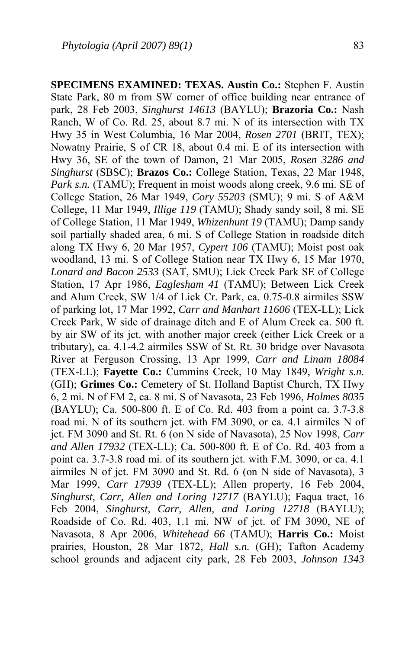**SPECIMENS EXAMINED: TEXAS. Austin Co.:** Stephen F. Austin State Park, 80 m from SW corner of office building near entrance of park, 28 Feb 2003, *Singhurst 14613* (BAYLU); **Brazoria Co.:** Nash Ranch, W of Co. Rd. 25, about 8.7 mi. N of its intersection with TX Hwy 35 in West Columbia, 16 Mar 2004, *Rosen 2701* (BRIT, TEX); Nowatny Prairie, S of CR 18, about 0.4 mi. E of its intersection with Hwy 36, SE of the town of Damon, 21 Mar 2005, *Rosen 3286 and Singhurst* (SBSC); **Brazos Co.:** College Station, Texas, 22 Mar 1948, *Park s.n.* (TAMU); Frequent in moist woods along creek, 9.6 mi. SE of College Station, 26 Mar 1949, *Cory 55203* (SMU); 9 mi. S of A&M College, 11 Mar 1949, *Illige 119* (TAMU); Shady sandy soil, 8 mi. SE of College Station, 11 Mar 1949, *Whizenhunt 19* (TAMU); Damp sandy soil partially shaded area, 6 mi. S of College Station in roadside ditch along TX Hwy 6, 20 Mar 1957, *Cypert 106* (TAMU); Moist post oak woodland, 13 mi. S of College Station near TX Hwy 6, 15 Mar 1970, *Lonard and Bacon 2533* (SAT, SMU); Lick Creek Park SE of College Station, 17 Apr 1986, *Eaglesham 41* (TAMU); Between Lick Creek and Alum Creek, SW 1/4 of Lick Cr. Park, ca. 0.75-0.8 airmiles SSW of parking lot, 17 Mar 1992, *Carr and Manhart 11606* (TEX-LL); Lick Creek Park, W side of drainage ditch and E of Alum Creek ca. 500 ft. by air SW of its jct. with another major creek (either Lick Creek or a tributary), ca. 4.1-4.2 airmiles SSW of St. Rt. 30 bridge over Navasota River at Ferguson Crossing, 13 Apr 1999, *Carr and Linam 18084* (TEX-LL); **Fayette Co.:** Cummins Creek, 10 May 1849, *Wright s.n.* (GH); **Grimes Co.:** Cemetery of St. Holland Baptist Church, TX Hwy 6, 2 mi. N of FM 2, ca. 8 mi. S of Navasota, 23 Feb 1996, *Holmes 8035* (BAYLU); Ca. 500-800 ft. E of Co. Rd. 403 from a point ca. 3.7-3.8 road mi. N of its southern jct. with FM 3090, or ca. 4.1 airmiles N of jct. FM 3090 and St. Rt. 6 (on N side of Navasota), 25 Nov 1998, *Carr and Allen 17932* (TEX-LL); Ca. 500-800 ft. E of Co. Rd. 403 from a point ca. 3.7-3.8 road mi. of its southern jct. with F.M. 3090, or ca. 4.1 airmiles N of jct. FM 3090 and St. Rd. 6 (on N side of Navasota), 3 Mar 1999, *Carr 17939* (TEX-LL); Allen property, 16 Feb 2004, *Singhurst, Carr, Allen and Loring 12717* (BAYLU); Faqua tract, 16 Feb 2004, *Singhurst, Carr, Allen, and Loring 12718* (BAYLU); Roadside of Co. Rd. 403, 1.1 mi. NW of jct. of FM 3090, NE of Navasota, 8 Apr 2006, *Whitehead 66* (TAMU); **Harris Co.:** Moist prairies, Houston, 28 Mar 1872, *Hall s.n.* (GH); Tafton Academy school grounds and adjacent city park, 28 Feb 2003, *Johnson 1343*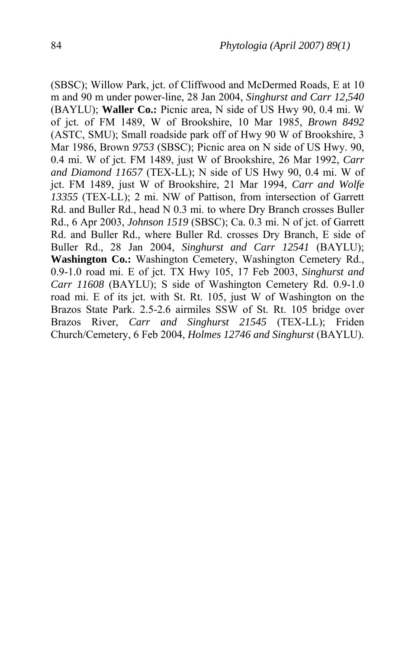(SBSC); Willow Park, jct. of Cliffwood and McDermed Roads, E at 10 m and 90 m under power-line, 28 Jan 2004, *Singhurst and Carr 12,540* (BAYLU); **Waller Co.:** Picnic area, N side of US Hwy 90, 0.4 mi. W of jct. of FM 1489, W of Brookshire, 10 Mar 1985, *Brown 8492* (ASTC, SMU); Small roadside park off of Hwy 90 W of Brookshire, 3 Mar 1986, Brown *9753* (SBSC); Picnic area on N side of US Hwy. 90, 0.4 mi. W of jct. FM 1489, just W of Brookshire, 26 Mar 1992, *Carr and Diamond 11657* (TEX-LL); N side of US Hwy 90, 0.4 mi. W of jct. FM 1489, just W of Brookshire, 21 Mar 1994, *Carr and Wolfe 13355* (TEX-LL); 2 mi. NW of Pattison, from intersection of Garrett Rd. and Buller Rd., head N 0.3 mi. to where Dry Branch crosses Buller Rd., 6 Apr 2003, *Johnson 1519* (SBSC); Ca. 0.3 mi. N of jct. of Garrett Rd. and Buller Rd., where Buller Rd. crosses Dry Branch, E side of Buller Rd., 28 Jan 2004, *Singhurst and Carr 12541* (BAYLU); **Washington Co.:** Washington Cemetery, Washington Cemetery Rd., 0.9-1.0 road mi. E of jct. TX Hwy 105, 17 Feb 2003, *Singhurst and Carr 11608* (BAYLU); S side of Washington Cemetery Rd. 0.9-1.0 road mi. E of its jct. with St. Rt. 105, just W of Washington on the Brazos State Park. 2.5-2.6 airmiles SSW of St. Rt. 105 bridge over Brazos River, *Carr and Singhurst 21545* (TEX-LL); Friden Church/Cemetery, 6 Feb 2004, *Holmes 12746 and Singhurst* (BAYLU).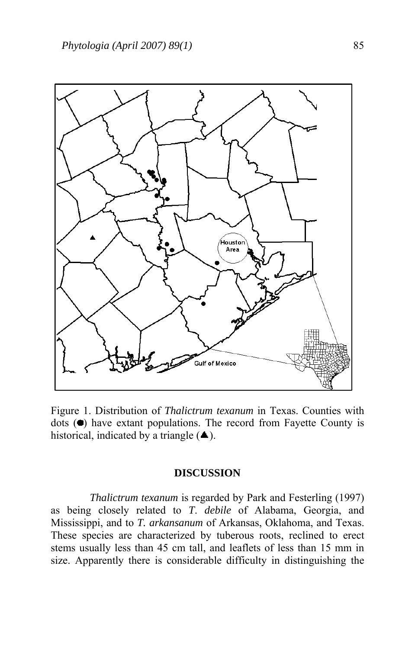

Figure 1. Distribution of *Thalictrum texanum* in Texas. Counties with dots  $($  $\bullet)$  have extant populations. The record from Fayette County is historical, indicated by a triangle  $($   $\blacksquare$ ).

### **DISCUSSION**

*Thalictrum texanum* is regarded by Park and Festerling (1997) as being closely related to *T*. *debile* of Alabama, Georgia, and Mississippi, and to *T. arkansanum* of Arkansas, Oklahoma, and Texas. These species are characterized by tuberous roots, reclined to erect stems usually less than 45 cm tall, and leaflets of less than 15 mm in size. Apparently there is considerable difficulty in distinguishing the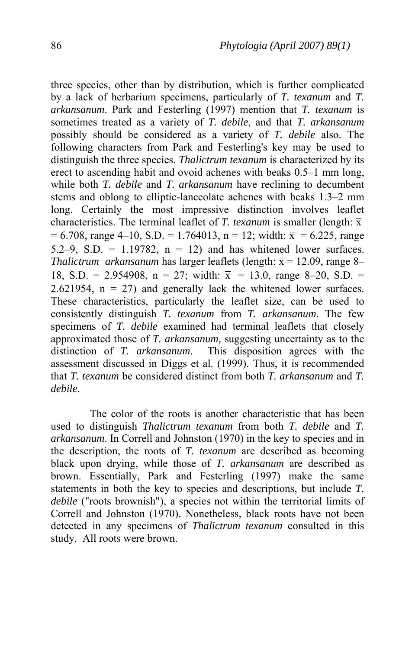three species, other than by distribution, which is further complicated by a lack of herbarium specimens, particularly of *T. texanum* and *T. arkansanum*. Park and Festerling (1997) mention that *T. texanum* is sometimes treated as a variety of *T. debile*, and that *T. arkansanum* possibly should be considered as a variety of *T. debile* also. The following characters from Park and Festerling's key may be used to distinguish the three species. *Thalictrum texanum* is characterized by its erect to ascending habit and ovoid achenes with beaks 0.5–1 mm long, while both *T. debile* and *T. arkansanum* have reclining to decumbent stems and oblong to elliptic-lanceolate achenes with beaks 1.3–2 mm long. Certainly the most impressive distinction involves leaflet characteristics. The terminal leaflet of *T. texanum* is smaller (length:  $\bar{x}$  $= 6.708$ , range 4–10, S.D. = 1.764013, n = 12; width:  $\bar{x} = 6.225$ . range 5.2–9, S.D. = 1.19782,  $n = 12$ ) and has whitened lower surfaces. *Thalictrum arkansanum* has larger leaflets (length:  $\bar{x} = 12.09$ , range 8– 18, S.D. = 2.954908, n = 27; width:  $\bar{x}$  = 13.0, range 8–20, S.D. = 2.621954,  $n = 27$  and generally lack the whitened lower surfaces. These characteristics, particularly the leaflet size, can be used to consistently distinguish *T. texanum* from *T. arkansanum*. The few specimens of *T. debile* examined had terminal leaflets that closely approximated those of *T. arkansanum,* suggesting uncertainty as to the distinction of *T. arkansanum*. This disposition agrees with the assessment discussed in Diggs et al. (1999). Thus, it is recommended that *T. texanum* be considered distinct from both *T. arkansanum* and *T. debile*.

 The color of the roots is another characteristic that has been used to distinguish *Thalictrum texanum* from both *T. debile* and *T. arkansanum*. In Correll and Johnston (1970) in the key to species and in the description, the roots of *T. texanum* are described as becoming black upon drying, while those of *T. arkansanum* are described as brown. Essentially, Park and Festerling (1997) make the same statements in both the key to species and descriptions, but include *T. debile* ("roots brownish"), a species not within the territorial limits of Correll and Johnston (1970). Nonetheless, black roots have not been detected in any specimens of *Thalictrum texanum* consulted in this study. All roots were brown.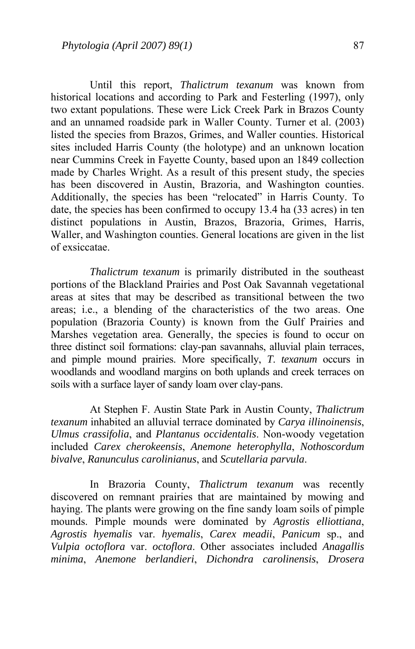Until this report, *Thalictrum texanum* was known from historical locations and according to Park and Festerling (1997), only two extant populations. These were Lick Creek Park in Brazos County and an unnamed roadside park in Waller County. Turner et al. (2003) listed the species from Brazos, Grimes, and Waller counties. Historical sites included Harris County (the holotype) and an unknown location near Cummins Creek in Fayette County, based upon an 1849 collection made by Charles Wright. As a result of this present study, the species has been discovered in Austin, Brazoria, and Washington counties. Additionally, the species has been "relocated" in Harris County. To date, the species has been confirmed to occupy 13.4 ha (33 acres) in ten distinct populations in Austin, Brazos, Brazoria, Grimes, Harris, Waller, and Washington counties. General locations are given in the list of exsiccatae.

*Thalictrum texanum* is primarily distributed in the southeast portions of the Blackland Prairies and Post Oak Savannah vegetational areas at sites that may be described as transitional between the two areas; i.e., a blending of the characteristics of the two areas. One population (Brazoria County) is known from the Gulf Prairies and Marshes vegetation area. Generally, the species is found to occur on three distinct soil formations: clay-pan savannahs, alluvial plain terraces, and pimple mound prairies. More specifically, *T*. *texanum* occurs in woodlands and woodland margins on both uplands and creek terraces on soils with a surface layer of sandy loam over clay-pans.

At Stephen F. Austin State Park in Austin County, *Thalictrum texanum* inhabited an alluvial terrace dominated by *Carya illinoinensis*, *Ulmus crassifolia*, and *Plantanus occidentalis*. Non-woody vegetation included *Carex cherokeensis*, *Anemone heterophylla*, *Nothoscordum bivalve*, *Ranunculus carolinianus*, and *Scutellaria parvula*.

 In Brazoria County, *Thalictrum texanum* was recently discovered on remnant prairies that are maintained by mowing and haying. The plants were growing on the fine sandy loam soils of pimple mounds. Pimple mounds were dominated by *Agrostis elliottiana*, *Agrostis hyemalis* var. *hyemalis*, *Carex meadii*, *Panicum* sp., and *Vulpia octoflora* var. *octoflora*. Other associates included *Anagallis minima*, *Anemone berlandieri*, *Dichondra carolinensis*, *Drosera*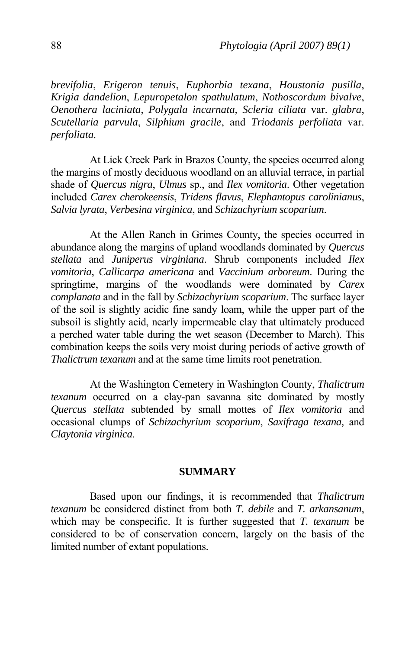*brevifolia*, *Erigeron tenuis*, *Euphorbia texana*, *Houstonia pusilla*, *Krigia dandelion*, *Lepuropetalon spathulatum*, *Nothoscordum bivalve*, *Oenothera laciniata*, *Polygala incarnata*, *Scleria ciliata* var. *glabra*, *Scutellaria parvula*, *Silphium gracile*, and *Triodanis perfoliata* var. *perfoliata.* 

 At Lick Creek Park in Brazos County, the species occurred along the margins of mostly deciduous woodland on an alluvial terrace, in partial shade of *Quercus nigra*, *Ulmus* sp., and *Ilex vomitoria*. Other vegetation included *Carex cherokeensis*, *Tridens flavus*, *Elephantopus carolinianus*, *Salvia lyrata*, *Verbesina virginica*, and *Schizachyrium scoparium*.

 At the Allen Ranch in Grimes County, the species occurred in abundance along the margins of upland woodlands dominated by *Quercus stellata* and *Juniperus virginiana*. Shrub components included *Ilex vomitoria*, *Callicarpa americana* and *Vaccinium arboreum*. During the springtime, margins of the woodlands were dominated by *Carex complanata* and in the fall by *Schizachyrium scoparium*. The surface layer of the soil is slightly acidic fine sandy loam, while the upper part of the subsoil is slightly acid, nearly impermeable clay that ultimately produced a perched water table during the wet season (December to March). This combination keeps the soils very moist during periods of active growth of *Thalictrum texanum* and at the same time limits root penetration.

At the Washington Cemetery in Washington County, *Thalictrum texanum* occurred on a clay-pan savanna site dominated by mostly *Quercus stellata* subtended by small mottes of *Ilex vomitoria* and occasional clumps of *Schizachyrium scoparium*, *Saxifraga texana,* and *Claytonia virginica*.

#### **SUMMARY**

 Based upon our findings, it is recommended that *Thalictrum texanum* be considered distinct from both *T. debile* and *T. arkansanum*, which may be conspecific. It is further suggested that *T. texanum* be considered to be of conservation concern, largely on the basis of the limited number of extant populations.